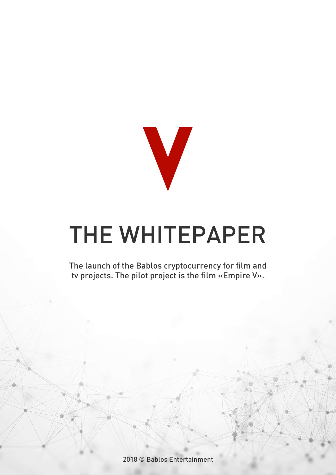The launch of the Bablos cryptocurrency for film and tv projects. The pilot project is the film «Empire V».

2018 © Bablos Entertainment



# THE WHITEPAPER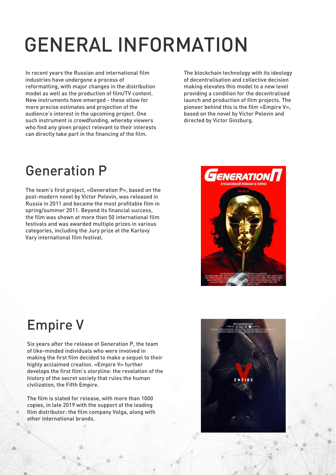### Generation P

In recent years the Russian and international film industries have undergone a process of reformatting, with major changes in the distribution model as well as the production of film/TV content. New instruments have emerged - these allow for more precise estimates and projection of the audience's interest in the upcoming project. One such instrument is crowdfunding, whereby viewers who find any given project relevant to their interests can directly take part in the financing of the film.

The blockchain technology with its ideology of decentralisation and collective decision making elevates this model to a new level providing a condition for the decentralised launch and production of film projects. The pioneer behind this is the film «Empire V», based on the novel by Victor Pelevin and directed by Victor Ginzburg.

The team's first project, «Generation P», based on the post-modern novel by Victor Pelevin, was released in Russia in 2011 and became the most profitable film in spring/summer 2011. Beyond its financial success, the film was shown at more than 50 international film festivals and was awarded multiple prizes in various categories, including the Jury prize at the Karlovy Vary international film festival.



Six years after the release of Generation P, the team of like-minded individuals who were involved in making the first film decided to make a sequel to their highly acclaimed creation. «Empire V» further develops the first film's storyline: the revelation of the history of the secret society that rules the human civilization, the Fifth Empire.



The film is slated for release, with more than 1000 copies, in late 2019 with the support of the leading film distributor: the film company Volga, along with other international brands.

### Empire V

## GENERAL INFORMATION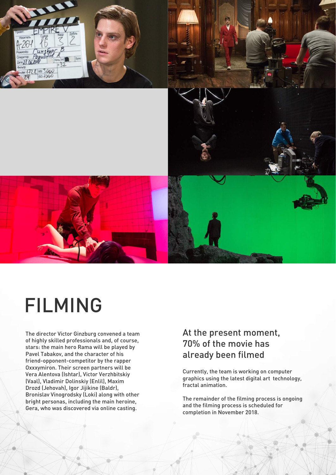Currently, the team is working on computer graphics using the latest digital art technology, fractal animation.

The remainder of the filming process is ongoing and the filming process is scheduled for completion in November 2018.

At the present moment, 70% of the movie has already been filmed

The director Victor Ginzburg convened a team of highly skilled professionals and, of course, stars: the main hero Rama will be played by Pavel Tabakov, and the character of his friend-opponent-competitor by the rapper Oxxxymiron. Their screen partners will be Vera Alentova (Ishtar), Victor Verzhbitskiy (Vaal), Vladimir Dolinskiy (Enlil), Maxim Drozd (Jehovah), Igor Jijikine (Baldr), Bronislav Vinogrodsky (Loki) along with other bright personas, including the main heroine, Gera, who was discovered via online casting.



## FILMING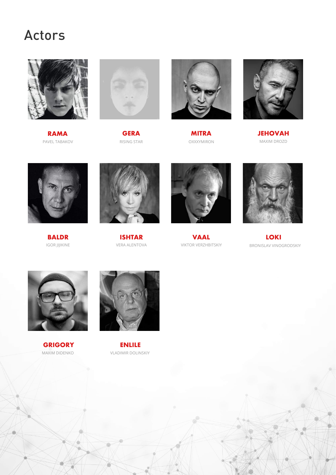

**RAMA** PAVEL TABAKOV



**VAAL** VIKTOR VERZHBITSKIY



**GERA** RISING STAR



**LOKI** BRONISLAV VINOGRODSKIY





**MITRA** OXXXYMIRON



**BALDR** IGOR JIJIKINE



**ENLILE** VLADIMIR DOLINSKIY



**ISHTAR** VERA ALENTOVA



MAXIM DROZD **JEHOVAH**

MAXIM DIDENKO **GRIGORY**



### Actors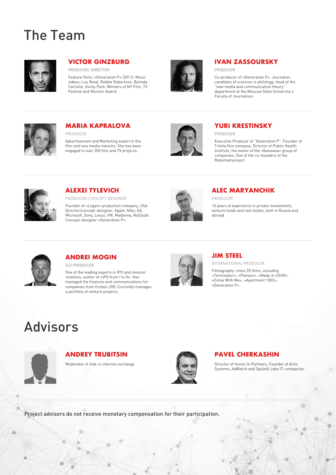#### **VICTOR GINZBURG**

#### **PAVEL CHERKASHIN**

#### **ALEC MARYANCHIK**

#### **MARIA KAPRALOVA**

#### **ALEXEI TYLEVICH**

#### **JIM STEEL**

PRODUCER, DIRECTOR

PRODUCER

PRODUCER

PRODUCER, CONCEPT DESIGNER

INTERNATIONAL PRODUCER

Feature films: «Generation P» (2011). Music videos: Lou Reed, Robbie Robertson, Belinda Carlslile, Gorky Park. Winners of NY Film, TV Festival and Monitor Award.



#### **YURI KRESTINSKY**

PRODUCER

Executive Producer of "Generation P". Founder of Trikita film company. Director of Public Health Institute, the owner of the «Бионика» group of companies. One of the co-founders of the Robomed project.



#### **IVAN ZASSOURSKY**

PRODUCER

Co-producer of «Generation P». Journalist, candidate of sciences in philology, head of the "new media and communication theory" department at the Moscow State University's Faculty of Journalism.



Director of Vestor.In Partners, Founder of Actis Systems, AdWatch and Sputnik Labs IT-companies.

15 years of experience in private investments, venture funds and real estate, both in Russia and abroad.



Advertisement and Marketing expert in the film and new media industry. She has been engaged in over 200 film and TV projects.



Founder of «Logan» production company, USA. Director/concept-designer: Apple, Nike, EA, Microsoft, Sony, Lexus, VW, Madonna, NoDoubt. Concept-designer «Generation P».



Filmography: more 20 films, including «Terminator», «Platoon», «Made in USSR», «Come With Me», «Apartment 1303», «Generation P».

#### **ANDREI MOGIN**

ICO-PRODUCER

One of the leading experts in IPO and investor relations, author of «IPO from I to O». Has managed the finances and communications for companies from Forbes-200. Currently manages a portfolio of venture projects.



#### **ANDREY TRUBITSIN**



Moderator of indx.ru internet exchange



### The Team



## Advisors



#### Project advisors do not receive monetary compensation for their participation.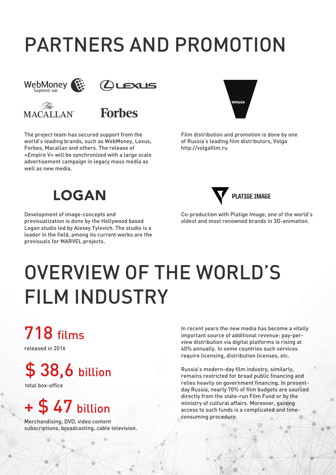# PARTNERS AND PROMOTION







**Forbes** 

# OVERVIEW OF THE WORLD'S FILM INDUSTRY

Merchandising, DVD, video content subscriptions, broadcasting, cable television.

released in 2016

total box-office

718 films

## \$ 38,6 billion

## + \$ 47 billion

In recent years the new media has become a vitally important source of additional revenue: pay-perview distribution via digital platforms is rising at 40% annually. In some countries such services require licensing, distribution licenses, etc.

Russia's modern-day film industry, similarly, remains restricted for broad public financing and relies heavily on government financing. In presentday Russia, nearly 70% of film budgets are sourced directly from the state-run Film Fund or by the ministry of cultural affairs. Moreover, gaining access to such funds is a complicated and timeconsuming procedure.

Тhe project team has secured support from the world's leading brands, such as WebMoney, Lexus, Forbes, Macallan and others. The release of «Empire V» will be synchronized with a large scale advertisement campaign in legacy mass media as well as new media.



Film distribution and promotion is done by one of Russia's leading film distributors, Volga http://volgafilm.ru



Development of image-concepts and previsualization is done by the Hollywood based Logan studio led by Alexey Tylevich. The studio is a leader in the field, among its current works are the previsuals for MARVEL projects.



Co-production with Platige Image, one of the world's oldest and most renowned brands in 3D-animation.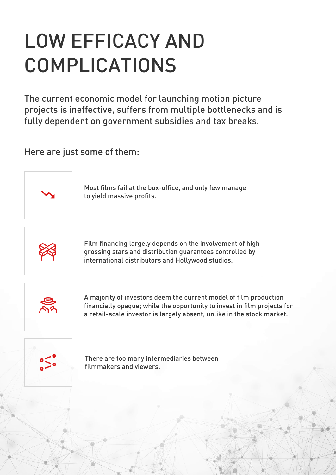# LOW EFFICACY AND COMPLICATIONS

The current economic model for launching motion picture projects is ineffective, suffers from multiple bottlenecks and is fully dependent on government subsidies and tax breaks.

Here are just some of them:



Film financing largely depends on the involvement of high grossing stars and distribution guarantees controlled by international distributors and Hollywood studios.



Most films fail at the box-office, and only few manage to yield massive profits.



There are too many intermediaries between filmmakers and viewers.

A majority of investors deem the current model of film production financially opaque; while the opportunity to invest in film projects for a retail-scale investor is largely absent, unlike in the stock market.

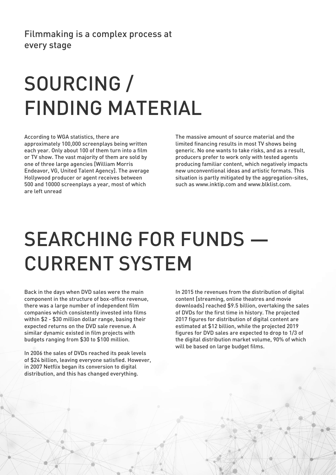# SOURCING / FINDING MATERIAL

#### Filmmaking is a complex process at every stage

According to WGA statistics, there are approximately 100,000 screenplays being written each year. Only about 100 of them turn into a film or TV show. The vast majority of them are sold by one of three large agencies [William Morris Endeavor, VG, United Talent Agency]. The average Hollywood producer or agent receives between 500 and 10000 screenplays a year, most of which are left unread

The massive amount of source material and the limited financing results in most TV shows being generic. No one wants to take risks, and as a result, producers prefer to work only with tested agents producing familiar content, which negatively impacts new unconventional ideas and artistic formats. This situation is partly mitigated by the aggregation-sites, such as www.inktip.com and www.blklist.com.

## SEARCHING FOR FUNDS — CURRENT SYSTEM

Back in the days when DVD sales were the main component in the structure of box-office revenue, there was a large number of independent film companies which consistently invested into films within \$2 - \$30 million dollar range, basing their expected returns on the DVD sale revenue. A similar dynamic existed in film projects with budgets ranging from \$30 to \$100 million.

In 2006 the sales of DVDs reached its peak levels of \$24 billion, leaving everyone satisfied. However, in 2007 Netflix began its conversion to digital distribution, and this has changed everything.

In 2015 the revenues from the distribution of digital content [streaming, online theatres and movie downloads] reached \$9.5 billion, overtaking the sales of DVDs for the first time in history. The projected 2017 figures for distribution of digital content are estimated at \$12 billion, while the projected 2019 figures for DVD sales are expected to drop to 1/3 of the digital distribution market volume, 90% of which will be based on large budget films.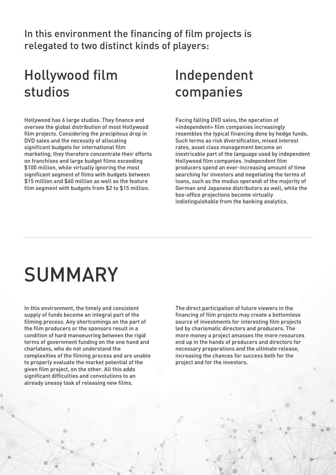In this environment the financing of film projects is relegated to two distinct kinds of players:

In this environment, the timely and consistent supply of funds become an integral part of the filming process. Any shortcomings on the part of the film producers or the sponsors result in a condition of hard manoeuvring between the rigid terms of government funding on the one hand and charlatans, who do not understand the complexities of the filming process and are unable

to properly evaluate the market potential of the given film project, on the other. All this adds significant difficulties and convolutions to an already uneasy task of releasing new films.

The direct participation of future viewers in the financing of film projects may create a bottomless source of investments for interesting film projects led by charismatic directors and producers. The more money a project amasses the more resources end up in the hands of producers and directors for necessary preparations and the ultimate release, increasing the chances for success both for the

project and for the investors.

## SUMMARY

### Hollywood film studios

### Independent companies

Hollywood has 6 large studios. They finance and oversee the global distribution of most Hollywood film projects. Considering the precipitous drop in DVD sales and the necessity of allocating significant budgets for international film marketing, they therefore concentrate their efforts on franchises and large budget films exceeding \$100 million, while virtually ignoring the most significant segment of films with budgets between \$15 million and \$60 million as well as the feature film segment with budgets from \$2 to \$15 million.

Facing falling DVD sales, the operation of «independent» film companies increasingly resembles the typical financing done by hedge funds. Such terms as risk diversification, mixed interest rates, asset class management become an inextricable part of the language used by independent Hollywood film companies. Independent film producers spend an ever-increasing amount of time searching for investors and negotiating the terms of loans, such as the modus operandi of the majority of German and Japanese distributors as well, while the box-office projections become virtually indistinguishable from the banking analytics.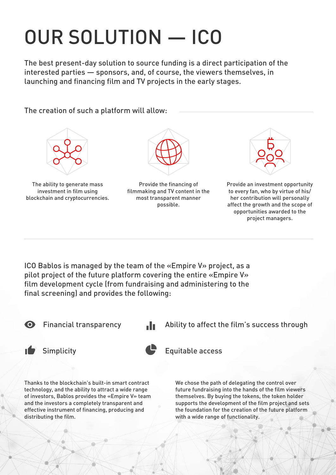# OUR SOLUTION — ICO

The best present-day solution to source funding is a direct participation of the interested parties — sponsors, and, of course, the viewers themselves, in launching and financing film and TV projects in the early stages.

The creation of such a platform will allow:



The ability to generate mass investment in film using blockchain and cryptocurrencies.



Provide an investment opportunity to every fan, who by virtue of his/ her contribution will personally affect the growth and the scope of opportunities awarded to the project managers.



Provide the financing of filmmaking and TV content in the most transparent manner possible.

ICO Bablos is managed by the team of the «Empire V» project, as a pilot project of the future platform covering the entire «Empire V» film development cycle (from fundraising and administering to the final screening) and provides the following:



Financial transparency



Thanks to the blockchain's built-in smart contract technology, and the ability to attract a wide range of investors, Bablos provides the «Empire V» team and the investors a completely transparent and effective instrument of financing, producing and distributing the film.

We chose the path of delegating the control over future fundraising into the hands of the film viewers themselves. By buying the tokens, the token holder supports the development of the film project and sets the foundation for the creation of the future platform with a wide range of functionality.

Ability to affect the film's success through



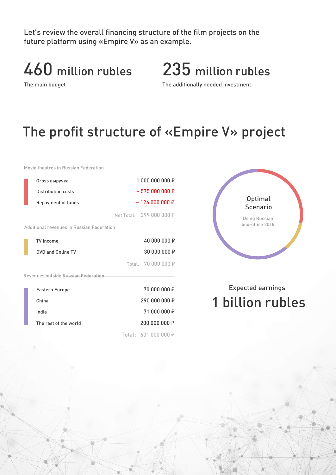### The profit structure of «Empire V» project

Gross выручка TV income Movie theatres in Russian Federation Additional revenues in Russian Federation Revenues outside Russian Federation Eastern Europe India 1 000 000 000 ₽ 40 000 000 ₽ 70 000 000 ₽ 71 000 000 ₽ Distribution costs DVD and Online TV China The rest of the world – 575 000 000 ₽ 30 000 000 ₽ 290 000 000 ₽ 200 000 000 ₽ Repayment of funds – 126 000 000 P Net Total: 299 000 000 ₽ Total: 70 000 000 ₽ Total: 631 000 000 ₽



### Expected earnings 1 billion rubles



Let's review the overall financing structure of the film projects on the future platform using «Empire V» as an example.

The main budget The additionally needed investment

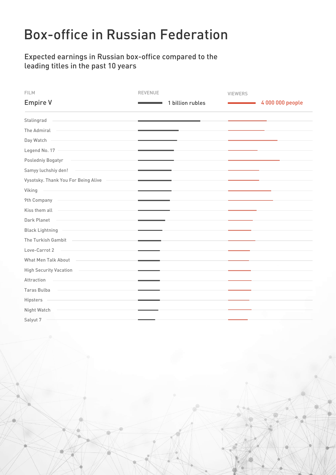## Box-office in Russian Federation

Expected earnings in Russian box-office compared to the leading titles in the past 10 years

| <b>FILM</b>                                                                      | <b>REVENUE</b>   | <b>VIEWERS</b>                                                                                                                                                                                     |                  |
|----------------------------------------------------------------------------------|------------------|----------------------------------------------------------------------------------------------------------------------------------------------------------------------------------------------------|------------------|
| <b>Empire V</b>                                                                  | 1 billion rubles | $\mathcal{L}^{\mathcal{L}}(\mathcal{L}^{\mathcal{L}})$ and $\mathcal{L}^{\mathcal{L}}(\mathcal{L}^{\mathcal{L}})$ and $\mathcal{L}^{\mathcal{L}}(\mathcal{L}^{\mathcal{L}})$ . In the contribution | 4 000 000 people |
| Stalingrad                                                                       |                  |                                                                                                                                                                                                    |                  |
| The Admiral                                                                      |                  |                                                                                                                                                                                                    |                  |
| Day Watch                                                                        |                  |                                                                                                                                                                                                    |                  |
| Legend No. 17                                                                    |                  |                                                                                                                                                                                                    |                  |
| <b>Posledniy Bogatyr</b>                                                         |                  |                                                                                                                                                                                                    |                  |
| Samyy luchshiy den!                                                              |                  |                                                                                                                                                                                                    |                  |
| Vysotsky. Thank You For Being Alive                                              |                  |                                                                                                                                                                                                    |                  |
| <b>Viking</b><br>and the control of the control of the control of the control of |                  |                                                                                                                                                                                                    |                  |
| 9th Company                                                                      |                  |                                                                                                                                                                                                    |                  |
| Kiss them all                                                                    |                  |                                                                                                                                                                                                    |                  |
| <b>Dark Planet</b>                                                               |                  |                                                                                                                                                                                                    |                  |
| <b>Black Lightning</b>                                                           |                  |                                                                                                                                                                                                    |                  |
| The Turkish Gambit                                                               |                  |                                                                                                                                                                                                    |                  |
| Love-Carrot 2                                                                    |                  |                                                                                                                                                                                                    |                  |
| <b>What Men Talk About</b>                                                       |                  |                                                                                                                                                                                                    |                  |
| <b>High Security Vacation</b>                                                    |                  |                                                                                                                                                                                                    |                  |
| Attraction                                                                       |                  |                                                                                                                                                                                                    |                  |
| <b>Taras Bulba</b>                                                               |                  |                                                                                                                                                                                                    |                  |
| <b>Hipsters</b>                                                                  |                  |                                                                                                                                                                                                    |                  |
| Night Watch                                                                      |                  |                                                                                                                                                                                                    |                  |
| Salyut 7                                                                         |                  |                                                                                                                                                                                                    |                  |

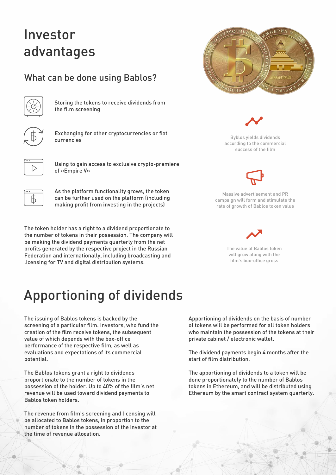The issuing of Bablos tokens is backed by the screening of a particular film. Investors, who fund the creation of the film receive tokens, the subsequent value of which depends with the box-office performance of the respective film, as well as evaluations and expectations of its commercial potential.

The Bablos tokens grant a right to dividends proportionate to the number of tokens in the possession of the holder. Up to 40% of the film's net revenue will be used toward dividend payments to Bablos token holders.

The revenue from film's screening and licensing will be allocated to Bablos tokens, in proportion to the number of tokens in the possession of the investor at the time of revenue allocation.

Apportioning of dividends on the basis of number of tokens will be performed for all token holders who maintain the possession of the tokens at their private cabinet / electronic wallet.

The dividend payments begin 4 months after the start of film distribution.



The apportioning of dividends to a token will be done proportionately to the number of Bablos tokens in Ethereum, and will be distributed using Ethereum by the smart contract system quarterly.

## Investor advantages

### Apportioning of dividends

The token holder has a right to a dividend proportionate to the number of tokens in their possession. The company will be making the dividend payments quarterly from the net profits generated by the respective project in the Russian Federation and internationally, including broadcasting and licensing for TV and digital distribution systems.

Massive advertisement and PR campaign will form and stimulate the rate of growth of Bablos token value



The value of Bablos token will grow along with the film's box-office gross

Storing the tokens to receive dividends from the film screening



Exchanging for other cryptocurrencies or fiat currencies



As the platform functionality grows, the token can be further used on the platform (including making profit from investing in the projects)

Using to gain access to exclusive crypto-premiere of «Empire V»



#### What can be done using Bablos?



Byblos yields dividends according to the commercial success of the film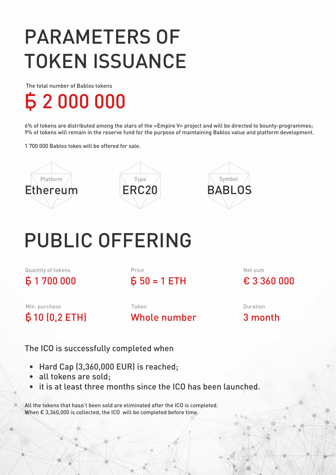# PUBLIC OFFERING

Quantity of tokens  $51700000$ 

Price  $50 = 1$  ETH

Net sum € 3 360 000

Б 10 (0,2 ЕТН)

Min. purchase Token Token Duration Whole number 3 month

# PARAMETERS OF TOKEN ISSUANCE

The total number of Bablos tokens



## Б 2 000 000

All the tokens that hasn't been sold are eliminated after the ICO is completed. When  $\epsilon$  3,360,000 is collected, the ICO will be completed before time.

6% of tokens are distributed among the stars of the «Empire V» project and will be directed to bounty-programmes; 9% of tokens will remain in the reserve fund for the purpose of maintaining Bablos value and platform development.

1 700 000 Bablos tokes will be offered for sale.

The ICO is successfully completed when

- Hard Cap (3,360,000 EUR) is reached;
- all tokens are sold;
- it is at least three months since the ICO has been launched.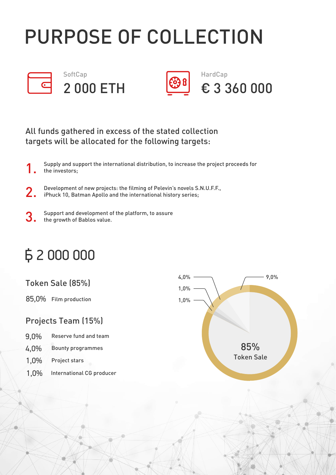## Б 2 000 000

85,0% Film production



| 9,0% | Reserve fund and team    |
|------|--------------------------|
| 4,0% | <b>Bounty programmes</b> |

#### Projects Team (15%)

#### Token Sale (85%)

# PURPOSE OF COLLECTION

![](_page_15_Picture_1.jpeg)

#### All funds gathered in excess of the stated collection targets will be allocated for the following targets:

International CG producer 1,0%

Project stars 1,0%

- 1. Supply and support the international distribution, to increase the project proceeds for the investors;
- Development of new projects: the filming of Pelevin's novels S.N.U.F.F.,
- 2. iPhuck 10, Batman Apollo and the international history series;
- Support and development of the platform, to assure
- 3. the growth of Bablos value.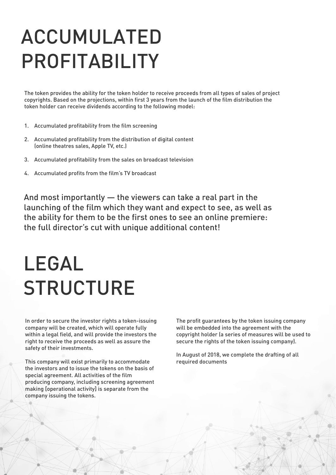In order to secure the investor rights a token-issuing company will be created, which will operate fully within a legal field, and will provide the investors the right to receive the proceeds as well as assure the safety of their investments.

This company will exist primarily to accommodate the investors and to issue the tokens on the basis of special agreement. All activities of the film producing company, including screening agreement making [operational activity] is separate from the company issuing the tokens.

The profit guarantees by the token issuing company will be embedded into the agreement with the copyright holder (a series of measures will be used to secure the rights of the token issuing company).

In August of 2018, we complete the drafting of all

required documents

## ACCUMULATED PROFITABILITY

The token provides the ability for the token holder to receive proceeds from all types of sales of project copyrights. Based on the projections, within first 3 years from the launch of the film distribution the token holder can receive dividends according to the following model:

- 1. Accumulated profitability from the film screening
- 2. Accumulated profitability from the distribution of digital content (online theatres sales, Apple TV, etc.)
- 3. Accumulated profitability from the sales on broadcast television
- 4. Accumulated profits from the film's TV broadcast

And most importantly — the viewers can take a real part in the launching of the film which they want and expect to see, as well as the ability for them to be the first ones to see an online premiere: the full director's cut with unique additional content!

## LEGAL **STRUCTURE**